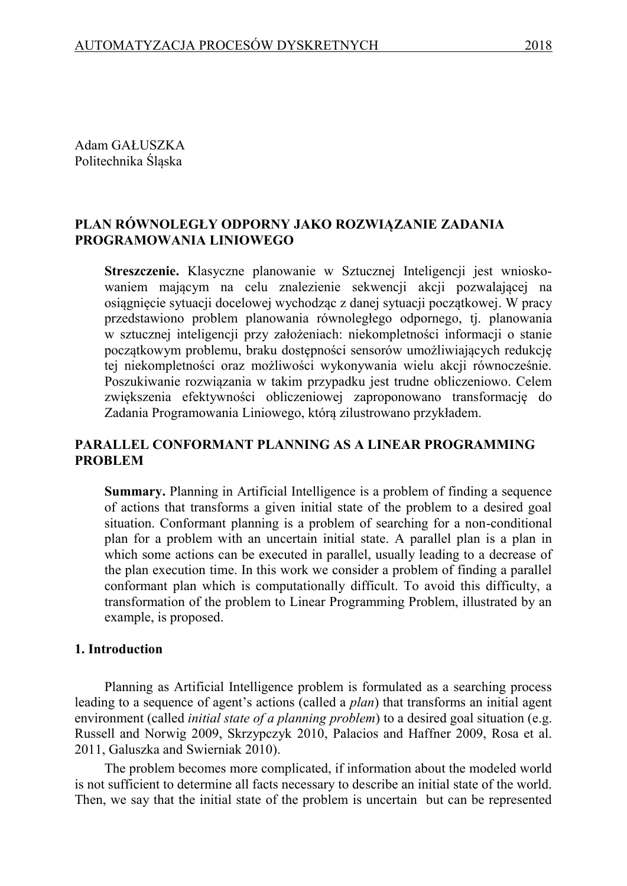Adam GAŁUSZKA Politechnika Śląska

# **PLAN RÓWNOLEGŁY ODPORNY JAKO ROZWIĄZANIE ZADANIA PROGRAMOWANIA LINIOWEGO**

**Streszczenie.** Klasyczne planowanie w Sztucznej Inteligencji jest wnioskowaniem mającym na celu znalezienie sekwencji akcji pozwalającej na osiągnięcie sytuacji docelowej wychodząc z danej sytuacji początkowej. W pracy przedstawiono problem planowania równoległego odpornego, tj. planowania w sztucznej inteligencji przy założeniach: niekompletności informacji o stanie początkowym problemu, braku dostępności sensorów umożliwiających redukcję tej niekompletności oraz możliwości wykonywania wielu akcji równocześnie. Poszukiwanie rozwiązania w takim przypadku jest trudne obliczeniowo. Celem zwiększenia efektywności obliczeniowej zaproponowano transformację do Zadania Programowania Liniowego, którą zilustrowano przykładem.

## **PARALLEL CONFORMANT PLANNING AS A LINEAR PROGRAMMING PROBLEM**

**Summary.** Planning in Artificial Intelligence is a problem of finding a sequence of actions that transforms a given initial state of the problem to a desired goal situation. Conformant planning is a problem of searching for a non-conditional plan for a problem with an uncertain initial state. A parallel plan is a plan in which some actions can be executed in parallel, usually leading to a decrease of the plan execution time. In this work we consider a problem of finding a parallel conformant plan which is computationally difficult. To avoid this difficulty, a transformation of the problem to Linear Programming Problem, illustrated by an example, is proposed.

#### **1. Introduction**

Planning as Artificial Intelligence problem is formulated as a searching process leading to a sequence of agent's actions (called a *plan*) that transforms an initial agent environment (called *initial state of a planning problem*) to a desired goal situation (e.g. Russell and Norwig 2009, Skrzypczyk 2010, Palacios and Haffner 2009, Rosa et al. 2011, Galuszka and Swierniak 2010).

The problem becomes more complicated, if information about the modeled world is not sufficient to determine all facts necessary to describe an initial state of the world. Then, we say that the initial state of the problem is uncertain but can be represented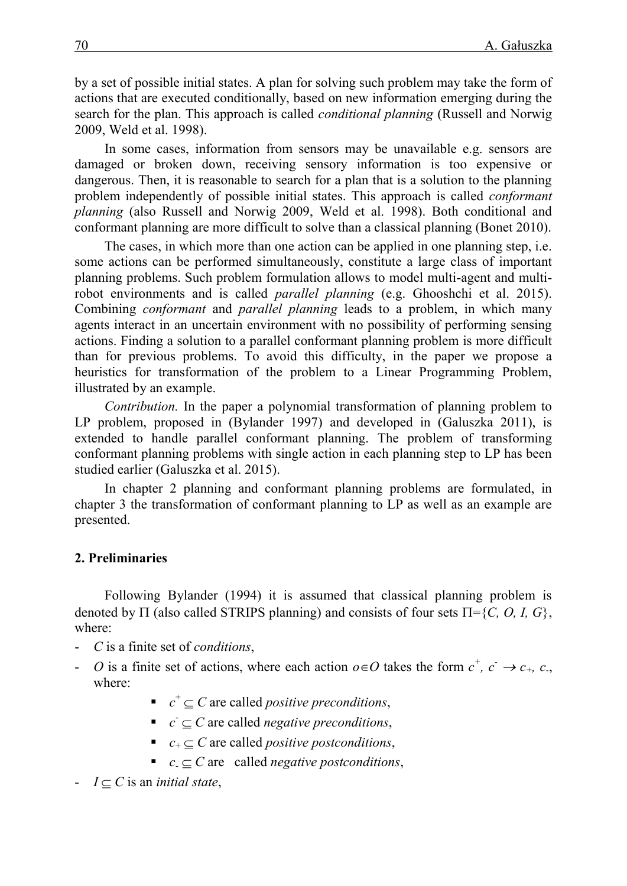by a set of possible initial states. A plan for solving such problem may take the form of actions that are executed conditionally, based on new information emerging during the search for the plan. This approach is called *conditional planning* (Russell and Norwig 2009, Weld et al. 1998).

In some cases, information from sensors may be unavailable e.g. sensors are damaged or broken down, receiving sensory information is too expensive or dangerous. Then, it is reasonable to search for a plan that is a solution to the planning problem independently of possible initial states. This approach is called *conformant planning* (also Russell and Norwig 2009, Weld et al. 1998). Both conditional and conformant planning are more difficult to solve than a classical planning (Bonet 2010).

The cases, in which more than one action can be applied in one planning step, i.e. some actions can be performed simultaneously, constitute a large class of important planning problems. Such problem formulation allows to model multi-agent and multirobot environments and is called *parallel planning* (e.g. Ghooshchi et al. 2015). Combining *conformant* and *parallel planning* leads to a problem, in which many agents interact in an uncertain environment with no possibility of performing sensing actions. Finding a solution to a parallel conformant planning problem is more difficult than for previous problems. To avoid this difficulty, in the paper we propose a heuristics for transformation of the problem to a Linear Programming Problem, illustrated by an example.

*Contribution.* In the paper a polynomial transformation of planning problem to LP problem, proposed in (Bylander 1997) and developed in (Galuszka 2011), is extended to handle parallel conformant planning. The problem of transforming conformant planning problems with single action in each planning step to LP has been studied earlier (Galuszka et al. 2015).

In chapter 2 planning and conformant planning problems are formulated, in chapter 3 the transformation of conformant planning to LP as well as an example are presented.

## **2. Preliminaries**

Following Bylander (1994) it is assumed that classical planning problem is denoted by  $\Pi$  (also called STRIPS planning) and consists of four sets  $\Pi = \{C, O, I, G\}$ , where:

- *C* is a finite set of *conditions*,
- *- O* is a finite set of actions, where each action  $o \in O$  takes the form  $c^+$ ,  $c^- \rightarrow c_+$ ,  $c_-$ , where:
	- $\bullet$   $c^+ \subseteq C$  are called *positive preconditions*,
	- $\bullet$  *c*  $\subseteq$  *C* are called *negative preconditions*,
	- $c_{+} \subset C$  are called *positive postconditions*,
	- $c_{\text{I}} \subseteq C$  are called *negative postconditions*,
- $I \subseteq C$  is an *initial state*,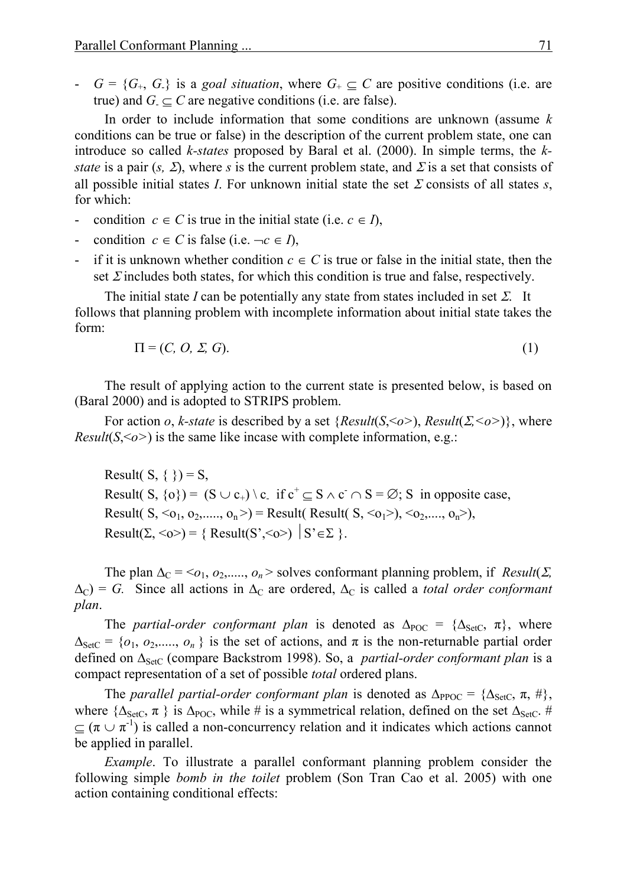$-G = {G_+, G_*}$  is a *goal situation*, where  $G_+ \subseteq C$  are positive conditions (i.e. are true) and  $G \subseteq C$  are negative conditions (i.e. are false).

In order to include information that some conditions are unknown (assume *k* conditions can be true or false) in the description of the current problem state, one can introduce so called *k-states* proposed by Baral et al. (2000). In simple terms, the *kstate* is a pair  $(s, \Sigma)$ , where *s* is the current problem state, and  $\Sigma$  is a set that consists of all possible initial states *I*. For unknown initial state the set  $\Sigma$  consists of all states *s*, for which:

- condition  $c \in C$  is true in the initial state (i.e.  $c \in I$ ),
- condition  $c \in C$  is false (i.e.  $\neg c \in I$ ),
- if it is unknown whether condition  $c \in C$  is true or false in the initial state, then the set  $\Sigma$  includes both states, for which this condition is true and false, respectively.

The initial state *I* can be potentially any state from states included in set  $\Sigma$ . It follows that planning problem with incomplete information about initial state takes the form:

$$
\Pi = (C, O, \Sigma, G). \tag{1}
$$

The result of applying action to the current state is presented below, is based on (Baral 2000) and is adopted to STRIPS problem.

For action *o*, *k*-state is described by a set {*Result*(*S*,  $\leq$ *o* $>$ ), *Result*(*Z*,  $\leq$ *o* $>$ )}, where *Result*( $S \leq o$ ) is the same like incase with complete information, e.g.:

Result(  $S, \{\}$ ) = S, Result( S,  $\{o\}$ ) = (S  $\cup$  c<sub>+</sub>) \ c\_ if c<sup>+</sup>  $\subseteq$  S  $\wedge$  c  $\cap$  S =  $\emptyset$ ; S in opposite case, Result( S,  $\langle 0_1, 0_2, \ldots, 0_n \rangle$  = Result( Result( S,  $\langle 0_1 \rangle$ ),  $\langle 0_2, \ldots, 0_n \rangle$ ), Result( $\Sigma$ ,  $\langle$ o $\rangle$ ) = { Result( $S'$ , $\langle$ o $\rangle$ )  $|S' \in \Sigma$  }.

The plan  $\Delta_C = \langle o_1, o_2, \ldots, o_n \rangle$  solves conformant planning problem, if *Result*( $\Sigma$ ,  $\Delta_C$ ) = *G*. Since all actions in  $\Delta_C$  are ordered,  $\Delta_C$  is called a *total order conformant plan*.

The *partial-order conformant plan* is denoted as  $\Delta_{\text{POC}} = {\Delta_{\text{SetC}}}, \pi$ , where  $\Delta_{\text{SetC}} = \{o_1, o_2, \dots, o_n\}$  is the set of actions, and  $\pi$  is the non-returnable partial order defined on  $\Delta_{\text{SetC}}$  (compare Backstrom 1998). So, a *partial-order conformant plan* is a compact representation of a set of possible *total* ordered plans.

The *parallel partial-order conformant plan* is denoted as  $\Delta_{\text{PPOC}} = {\Delta_{\text{SetC}}}, \pi, \#$ , where  $\{\Delta_{\text{SetC}}, \pi\}$  is  $\Delta_{\text{POC}}$ , while # is a symmetrical relation, defined on the set  $\Delta_{\text{SetC}}$ . #  $\subseteq (\pi \cup \pi^{-1})$  is called a non-concurrency relation and it indicates which actions cannot be applied in parallel.

*Example*. To illustrate a parallel conformant planning problem consider the following simple *bomb in the toilet* problem (Son Tran Cao et al. 2005) with one action containing conditional effects: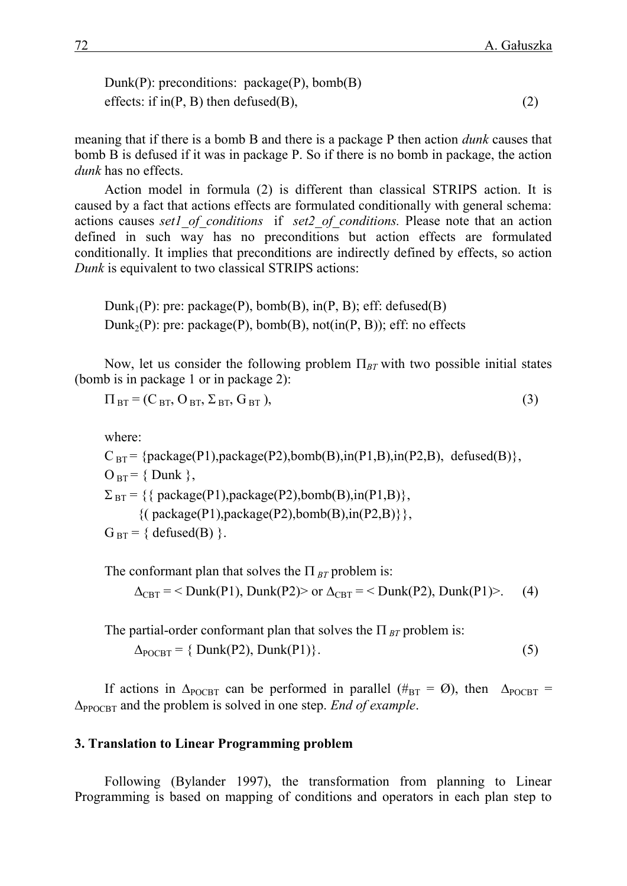Dunk(P): preconditions: package(P), bomb(B) effects: if  $in(P, B)$  then defused $(B)$ , (2)

meaning that if there is a bomb B and there is a package P then action *dunk* causes that bomb B is defused if it was in package P. So if there is no bomb in package, the action *dunk* has no effects.

Action model in formula (2) is different than classical STRIPS action. It is caused by a fact that actions effects are formulated conditionally with general schema: actions causes *set1\_of\_conditions* if *set2\_of\_conditions.* Please note that an action defined in such way has no preconditions but action effects are formulated conditionally. It implies that preconditions are indirectly defined by effects, so action *Dunk* is equivalent to two classical STRIPS actions:

Dunk<sub>1</sub>(P): pre: package(P), bomb(B),  $in(P, B)$ ; eff: defused(B) Dunk<sub>2</sub>(P): pre: package(P), bomb(B), not(in(P, B)); eff: no effects

Now, let us consider the following problem  $\Pi_{BT}$  with two possible initial states (bomb is in package 1 or in package 2):

$$
\Pi_{\text{BT}} = (C_{\text{BT}}, O_{\text{BT}}, \Sigma_{\text{BT}}, G_{\text{BT}}), \tag{3}
$$

where:

 $C_{BT}$  = {package(P1),package(P2),bomb(B),in(P1,B),in(P2,B), defused(B)},  $O_{\text{BT}} = \{$  Dunk  $\},$  $\Sigma_{\text{BT}} = \{\{\text{package}(P1), \text{package}(P2), \text{bomb}(B), \text{in}(P1,B)\},\}$  $\{(\text{package}(P1),\text{package}(P2),\text{bomb}(B),\text{in}(P2,B)\}\},$  $G_{\text{BT}} = \{ \text{ defined(B)} \}.$ 

The conformant plan that solves the  $\Pi_{BT}$  problem is:

 $\Delta_{\text{CBT}}$  = < Dunk(P1), Dunk(P2)> or  $\Delta_{\text{CBT}}$  = < Dunk(P2), Dunk(P1)>. (4)

The partial-order conformant plan that solves the  $\Pi_{BT}$  problem is:  $\Delta_{\text{POCBT}} = \{ \text{Dunk}(P2), \text{Dunk}(P1) \}.$  (5)

If actions in  $\Delta_{\text{POCBT}}$  can be performed in parallel ( $\#_{\text{BT}} = \emptyset$ ), then  $\Delta_{\text{POCBT}} =$  $\Delta_{\text{PPOCBT}}$  and the problem is solved in one step. *End of example*.

#### **3. Translation to Linear Programming problem**

Following (Bylander 1997), the transformation from planning to Linear Programming is based on mapping of conditions and operators in each plan step to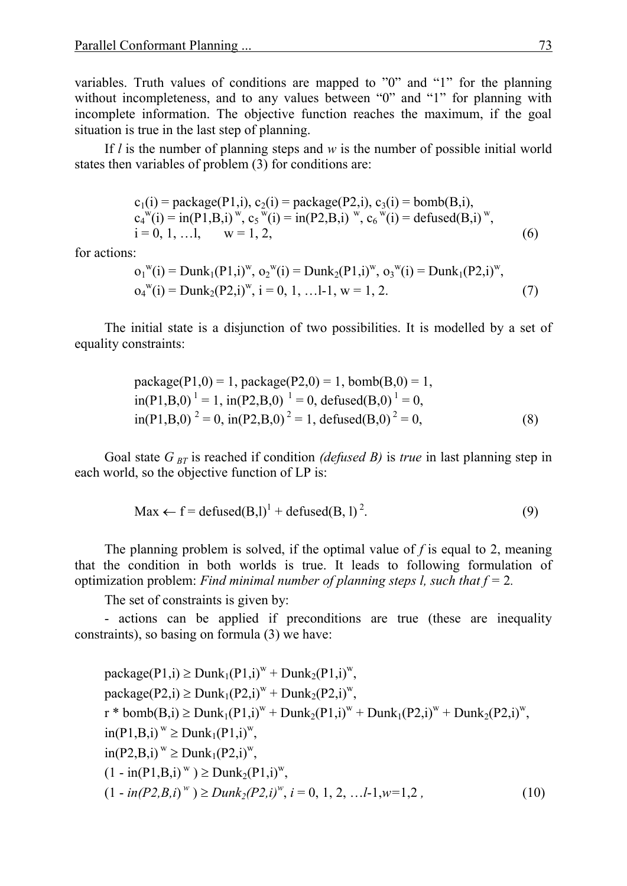variables. Truth values of conditions are mapped to "0" and "1" for the planning without incompleteness, and to any values between "0" and "1" for planning with incomplete information. The objective function reaches the maximum, if the goal situation is true in the last step of planning.

If *l* is the number of planning steps and *w* is the number of possible initial world states then variables of problem (3) for conditions are:

$$
c_1(i) = package(P1, i), c_2(i) = package(P2, i), c_3(i) = bomb(B, i),c_4^w(i) = in(P1, B, i)^w, c_5^w(i) = in(P2, B, i)^w, c_6^w(i) = defined(B, i)^w,i = 0, 1, ...l, w = 1, 2,
$$
\n(6)

for actions:

$$
o_1^w(i) = \text{Dunk}_1(\text{P1}, i)^w, o_2^w(i) = \text{Dunk}_2(\text{P1}, i)^w, o_3^w(i) = \text{Dunk}_1(\text{P2}, i)^w, o_4^w(i) = \text{Dunk}_2(\text{P2}, i)^w, i = 0, 1, \dots, l-1, w = 1, 2.
$$
 (7)

The initial state is a disjunction of two possibilities. It is modelled by a set of equality constraints:

package(P1,0) = 1, package(P2,0) = 1, bomb(B,0) = 1, in(P1,B,0) <sup>1</sup> = 1, in(P2,B,0)<sup>1</sup> = 0, defused(B,0) <sup>1</sup> = 0, in(P1,B,0) <sup>2</sup> = 0, in(P2,B,0) <sup>2</sup> = 1, defused(B,0) <sup>2</sup> = 0, (8)

Goal state  $G_{BT}$  is reached if condition *(defused B)* is *true* in last planning step in each world, so the objective function of LP is:

$$
\text{Max} \leftarrow f = \text{defined}(B, I)^1 + \text{defined}(B, I)^2. \tag{9}
$$

The planning problem is solved, if the optimal value of *f* is equal to 2, meaning that the condition in both worlds is true. It leads to following formulation of optimization problem: *Find minimal number of planning steps l, such that f =* 2*.* 

The set of constraints is given by:

- actions can be applied if preconditions are true (these are inequality constraints), so basing on formula (3) we have:

$$
package(P1,i) ≥ Dunk1(P1,i)w + Dunk2(P1,i)w,\npackage(P2,i) ≥ Dunk1(P2,i)w + Dunk2(P2,i)w,\nr * bomb(B,i) ≥ Dunk1(P1,i)w + Dunk2(P1,i)w + Dunk1(P2,i)w + Dunk2(P2,i)w,\nin(P1,B,i)w ≥ Dunk1(P1,i)w,\n(1 - in(P1,B,i)w) ≥ Dunk2(P1,i)w,\n(1 - in(P2,B,i)w) ≥ Dunk2(P2,i)w, i = 0, 1, 2, ...l-1, w=1,2,
$$
\n(10)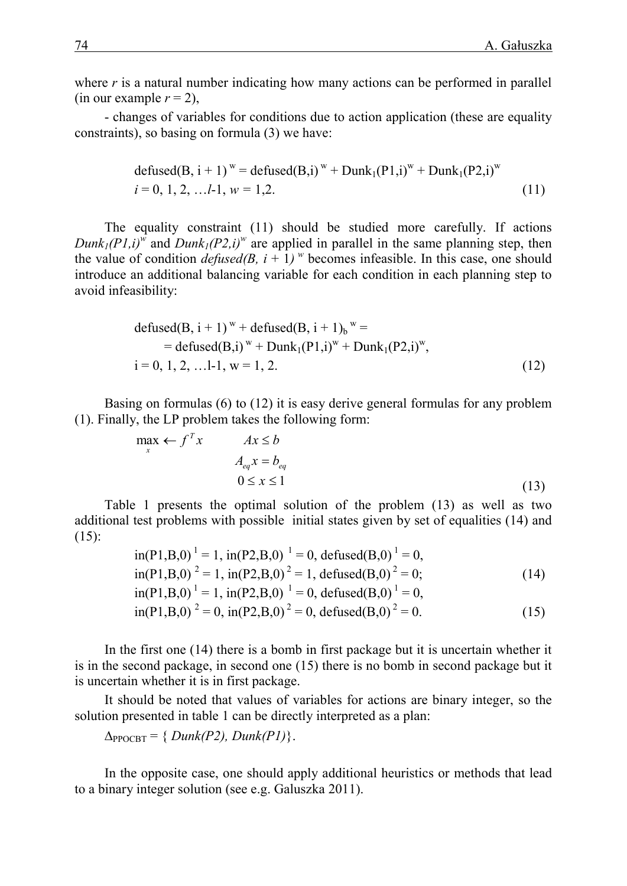where *r* is a natural number indicating how many actions can be performed in parallel (in our example  $r = 2$ ),

- changes of variables for conditions due to action application (these are equality constraints), so basing on formula (3) we have:

$$
\begin{aligned} \text{defined}(B, i+1)^{w} &= \text{defined}(B, i)^{w} + \text{Dunk}_{1}(P1, i)^{w} + \text{Dunk}_{1}(P2, i)^{w} \\ i &= 0, 1, 2, \dots l-1, w = 1, 2. \end{aligned} \tag{11}
$$

The equality constraint (11) should be studied more carefully. If actions *Dunk*<sub>*I*</sub>(*P1,i*)<sup>*w*</sup> and *Dunk*<sub>*I*</sub>(*P2,i*)<sup>*w*</sup> are applied in parallel in the same planning step, then the value of condition *defused*(*B*,  $i + 1$ )<sup>*w*</sup> becomes infeasible. In this case, one should introduce an additional balancing variable for each condition in each planning step to avoid infeasibility:

$$
\begin{aligned}\n\text{defined}(B, i+1)^{w} + \text{defined}(B, i+1)_{b}^{w} &= \\
&= \text{defined}(B, i)^{w} + \text{Dunk}_{1}(P1, i)^{w} + \text{Dunk}_{1}(P2, i)^{w}, \\
i &= 0, 1, 2, \dots 1 - 1, w = 1, 2.\n\end{aligned} \tag{12}
$$

Basing on formulas (6) to (12) it is easy derive general formulas for any problem (1). Finally, the LP problem takes the following form:

$$
\max_{x} \leftarrow f^{T} x \qquad Ax \leq b
$$
  

$$
A_{eq} x = b_{eq}
$$
  

$$
0 \leq x \leq 1
$$
 (13)

Table 1 presents the optimal solution of the problem (13) as well as two additional test problems with possible initial states given by set of equalities (14) and  $(15)$ :

in(P1,B,0) <sup>1</sup> = 1, in(P2,B,0)<sup>1</sup> = 0, defused(B,0) <sup>1</sup> = 0, in(P1,B,0) <sup>2</sup> = 1, in(P2,B,0) <sup>2</sup> = 1, defused(B,0) <sup>2</sup> = 0; (14) in(P1,B,0) <sup>1</sup> = 1, in(P2,B,0)<sup>1</sup> = 0, defused(B,0) <sup>1</sup> = 0, in(P1,B,0) <sup>2</sup> = 0, in(P2,B,0) <sup>2</sup> = 0, defused(B,0) <sup>2</sup> = 0. (15)

In the first one (14) there is a bomb in first package but it is uncertain whether it is in the second package, in second one (15) there is no bomb in second package but it is uncertain whether it is in first package.

It should be noted that values of variables for actions are binary integer, so the solution presented in table 1 can be directly interpreted as a plan:

 $\Delta_{\text{PPOCBT}} = \{ Dunk(P2), Dunk(P1) \}.$ 

In the opposite case, one should apply additional heuristics or methods that lead to a binary integer solution (see e.g. Galuszka 2011).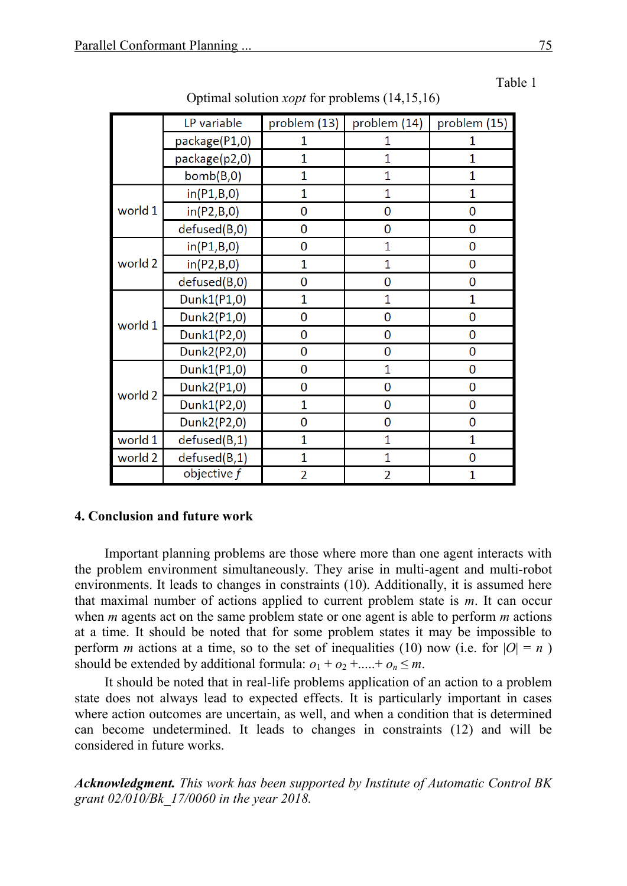|         | LP variable   | problem (13)   | problem (14)   | problem (15)   |
|---------|---------------|----------------|----------------|----------------|
|         | package(P1,0) | 1              | 1              | 1              |
|         | package(p2,0) | 1              | 1              | 1              |
|         | bomb(B,0)     | 1              | 1              | 1              |
| world 1 | in(P1,B,0)    | $\overline{1}$ | 1              | 1              |
|         | in(P2,B,0)    | 0              | 0              | 0              |
|         | defused(B,0)  | 0              | 0              | 0              |
| world 2 | in(P1,B,0)    | 0              | 1              | $\overline{0}$ |
|         | in(P2,B,0)    | 1              | 1              | 0              |
|         | defused(B,0)  | 0              | 0              | 0              |
| world 1 | Dunk1(P1,0)   | 1              | 1              | 1              |
|         | Dunk2(P1,0)   | 0              | 0              | 0              |
|         | Dunk1(P2,0)   | 0              | 0              | 0              |
|         | Dunk2(P2,0)   | 0              | $\overline{0}$ | 0              |
| world 2 | Dunk1(P1,0)   | 0              | 1              | 0              |
|         | Dunk2(P1,0)   | 0              | 0              | 0              |
|         | Dunk1(P2,0)   | 1              | 0              | 0              |
|         | Dunk2(P2,0)   | 0              | $\overline{0}$ | 0              |
| world 1 | defused(B,1)  | 1              | 1              | 1              |
| world 2 | defused(B,1)  | 1              | 1              | 0              |
|         | objective f   | $\overline{2}$ | $\overline{2}$ | 1              |

Optimal solution *xopt* for problems (14,15,16)

#### **4. Conclusion and future work**

Important planning problems are those where more than one agent interacts with the problem environment simultaneously. They arise in multi-agent and multi-robot environments. It leads to changes in constraints (10). Additionally, it is assumed here that maximal number of actions applied to current problem state is *m*. It can occur when *m* agents act on the same problem state or one agent is able to perform *m* actions at a time. It should be noted that for some problem states it may be impossible to perform *m* actions at a time, so to the set of inequalities (10) now (i.e. for  $|O| = n$ ) should be extended by additional formula:  $o_1 + o_2 + \ldots + o_n \leq m$ .

It should be noted that in real-life problems application of an action to a problem state does not always lead to expected effects. It is particularly important in cases where action outcomes are uncertain, as well, and when a condition that is determined can become undetermined. It leads to changes in constraints (12) and will be considered in future works.

*Acknowledgment. This work has been supported by Institute of Automatic Control BK grant 02/010/Bk\_17/0060 in the year 2018.*

Table 1